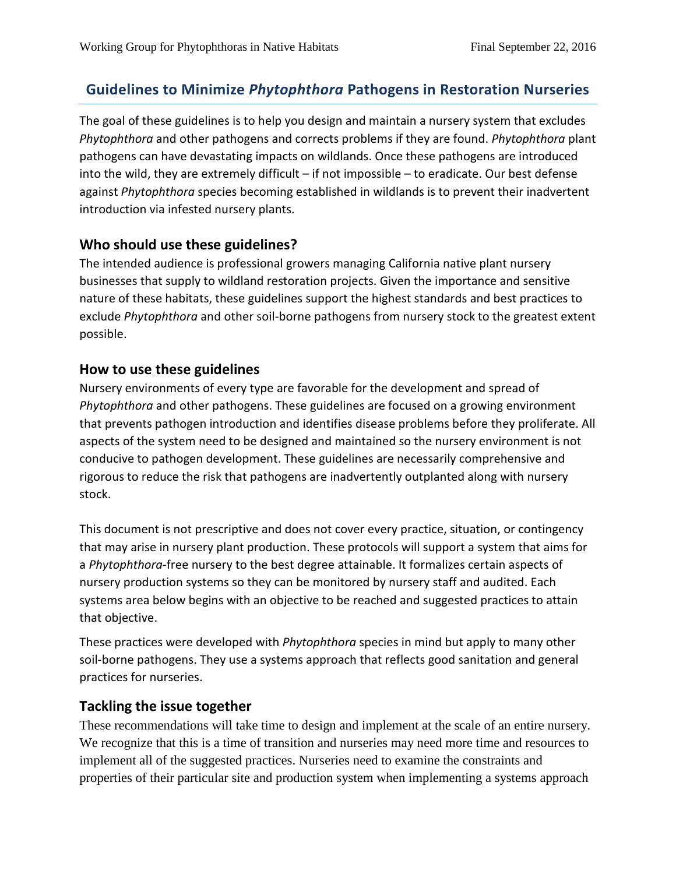# **Guidelines to Minimize** *Phytophthora* **Pathogens in Restoration Nurseries**

The goal of these guidelines is to help you design and maintain a nursery system that excludes *Phytophthora* and other pathogens and corrects problems if they are found. *Phytophthora* plant pathogens can have devastating impacts on wildlands. Once these pathogens are introduced into the wild, they are extremely difficult – if not impossible – to eradicate. Our best defense against *Phytophthora* species becoming established in wildlands is to prevent their inadvertent introduction via infested nursery plants.

# **Who should use these guidelines?**

The intended audience is professional growers managing California native plant nursery businesses that supply to wildland restoration projects. Given the importance and sensitive nature of these habitats, these guidelines support the highest standards and best practices to exclude *Phytophthora* and other soil-borne pathogens from nursery stock to the greatest extent possible.

# **How to use these guidelines**

Nursery environments of every type are favorable for the development and spread of *Phytophthora* and other pathogens. These guidelines are focused on a growing environment that prevents pathogen introduction and identifies disease problems before they proliferate. All aspects of the system need to be designed and maintained so the nursery environment is not conducive to pathogen development. These guidelines are necessarily comprehensive and rigorous to reduce the risk that pathogens are inadvertently outplanted along with nursery stock.

This document is not prescriptive and does not cover every practice, situation, or contingency that may arise in nursery plant production. These protocols will support a system that aims for a *Phytophthora*-free nursery to the best degree attainable. It formalizes certain aspects of nursery production systems so they can be monitored by nursery staff and audited. Each systems area below begins with an objective to be reached and suggested practices to attain that objective.

These practices were developed with *Phytophthora* species in mind but apply to many other soil-borne pathogens. They use a systems approach that reflects good sanitation and general practices for nurseries.

# **Tackling the issue together**

These recommendations will take time to design and implement at the scale of an entire nursery. We recognize that this is a time of transition and nurseries may need more time and resources to implement all of the suggested practices. Nurseries need to examine the constraints and properties of their particular site and production system when implementing a systems approach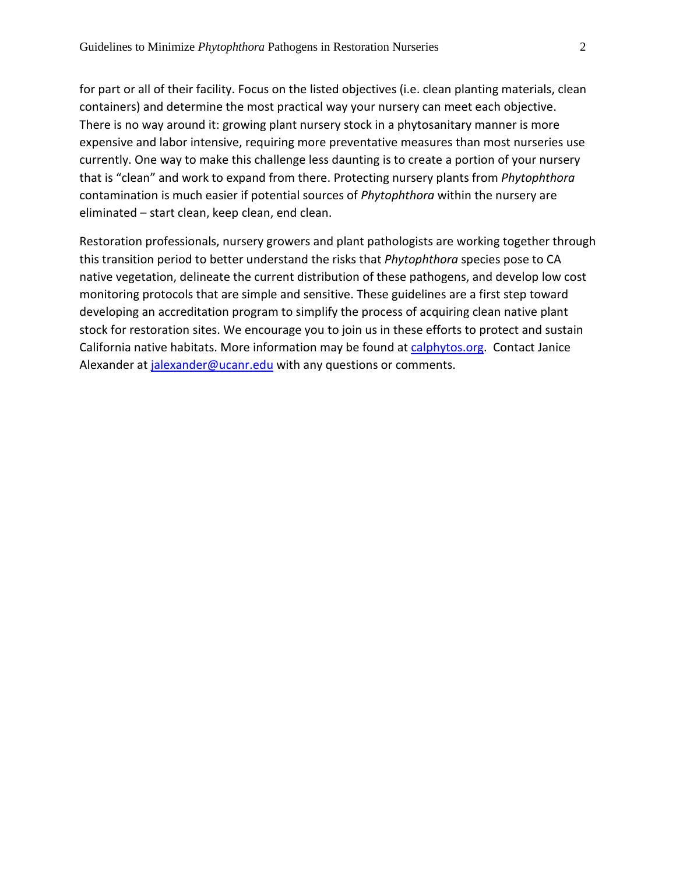for part or all of their facility. Focus on the listed objectives (i.e. clean planting materials, clean containers) and determine the most practical way your nursery can meet each objective. There is no way around it: growing plant nursery stock in a phytosanitary manner is more expensive and labor intensive, requiring more preventative measures than most nurseries use currently. One way to make this challenge less daunting is to create a portion of your nursery that is "clean" and work to expand from there. Protecting nursery plants from *Phytophthora* contamination is much easier if potential sources of *Phytophthora* within the nursery are eliminated – start clean, keep clean, end clean.

Restoration professionals, nursery growers and plant pathologists are working together through this transition period to better understand the risks that *Phytophthora* species pose to CA native vegetation, delineate the current distribution of these pathogens, and develop low cost monitoring protocols that are simple and sensitive. These guidelines are a first step toward developing an accreditation program to simplify the process of acquiring clean native plant stock for restoration sites. We encourage you to join us in these efforts to protect and sustain California native habitats. More information may be found at [calphytos.org.](http://www.calphytos.org/) Contact Janice Alexander at [jalexander@ucanr.edu](mailto:jalexander@ucanr.edu) with any questions or comments.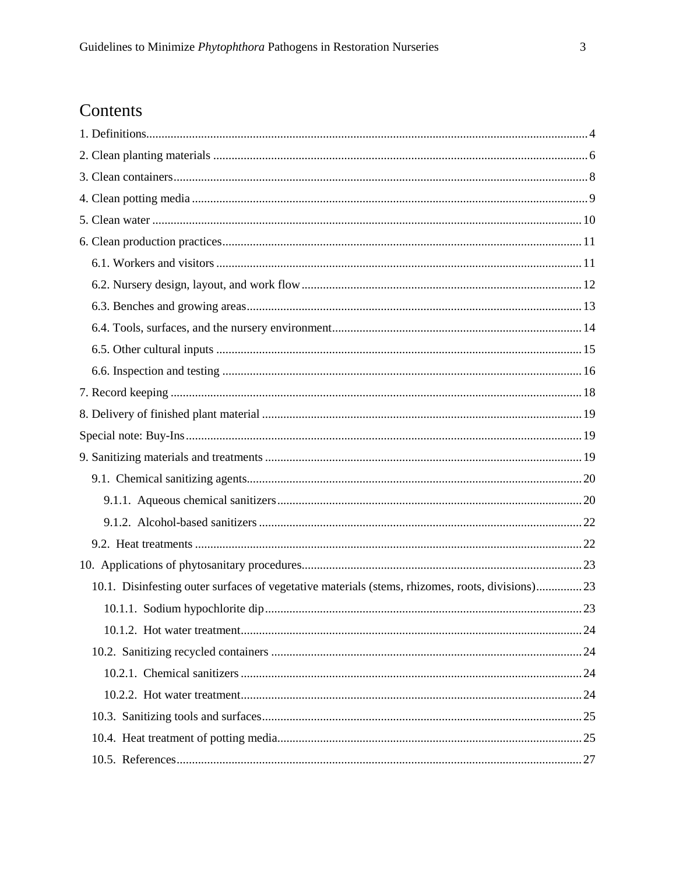# Contents

| 10.1. Disinfesting outer surfaces of vegetative materials (stems, rhizomes, roots, divisions)23 |  |  |  |  |
|-------------------------------------------------------------------------------------------------|--|--|--|--|
|                                                                                                 |  |  |  |  |
|                                                                                                 |  |  |  |  |
|                                                                                                 |  |  |  |  |
|                                                                                                 |  |  |  |  |
|                                                                                                 |  |  |  |  |
|                                                                                                 |  |  |  |  |
|                                                                                                 |  |  |  |  |
|                                                                                                 |  |  |  |  |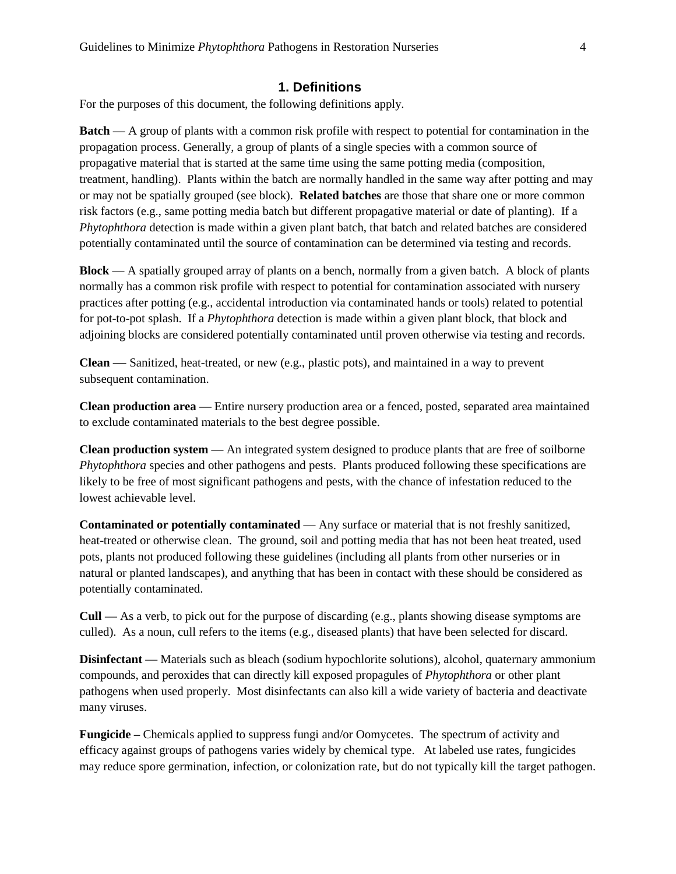### **1. Definitions**

<span id="page-3-0"></span>For the purposes of this document, the following definitions apply.

**Batch** — A group of plants with a common risk profile with respect to potential for contamination in the propagation process. Generally, a group of plants of a single species with a common source of propagative material that is started at the same time using the same potting media (composition, treatment, handling). Plants within the batch are normally handled in the same way after potting and may or may not be spatially grouped (see block). **Related batches** are those that share one or more common risk factors (e.g., same potting media batch but different propagative material or date of planting). If a *Phytophthora* detection is made within a given plant batch, that batch and related batches are considered potentially contaminated until the source of contamination can be determined via testing and records.

**Block** — A spatially grouped array of plants on a bench, normally from a given batch. A block of plants normally has a common risk profile with respect to potential for contamination associated with nursery practices after potting (e.g., accidental introduction via contaminated hands or tools) related to potential for pot-to-pot splash. If a *Phytophthora* detection is made within a given plant block, that block and adjoining blocks are considered potentially contaminated until proven otherwise via testing and records.

**Clean** — Sanitized, heat-treated, or new (e.g., plastic pots), and maintained in a way to prevent subsequent contamination.

**Clean production area** — Entire nursery production area or a fenced, posted, separated area maintained to exclude contaminated materials to the best degree possible.

**Clean production system** — An integrated system designed to produce plants that are free of soilborne *Phytophthora* species and other pathogens and pests. Plants produced following these specifications are likely to be free of most significant pathogens and pests, with the chance of infestation reduced to the lowest achievable level.

**Contaminated or potentially contaminated** — Any surface or material that is not freshly sanitized, heat-treated or otherwise clean. The ground, soil and potting media that has not been heat treated, used pots, plants not produced following these guidelines (including all plants from other nurseries or in natural or planted landscapes), and anything that has been in contact with these should be considered as potentially contaminated.

**Cull** — As a verb, to pick out for the purpose of discarding (e.g., plants showing disease symptoms are culled). As a noun, cull refers to the items (e.g., diseased plants) that have been selected for discard.

**Disinfectant** — Materials such as bleach (sodium hypochlorite solutions), alcohol, quaternary ammonium compounds, and peroxides that can directly kill exposed propagules of *Phytophthora* or other plant pathogens when used properly. Most disinfectants can also kill a wide variety of bacteria and deactivate many viruses.

**Fungicide –** Chemicals applied to suppress fungi and/or Oomycetes. The spectrum of activity and efficacy against groups of pathogens varies widely by chemical type. At labeled use rates, fungicides may reduce spore germination, infection, or colonization rate, but do not typically kill the target pathogen.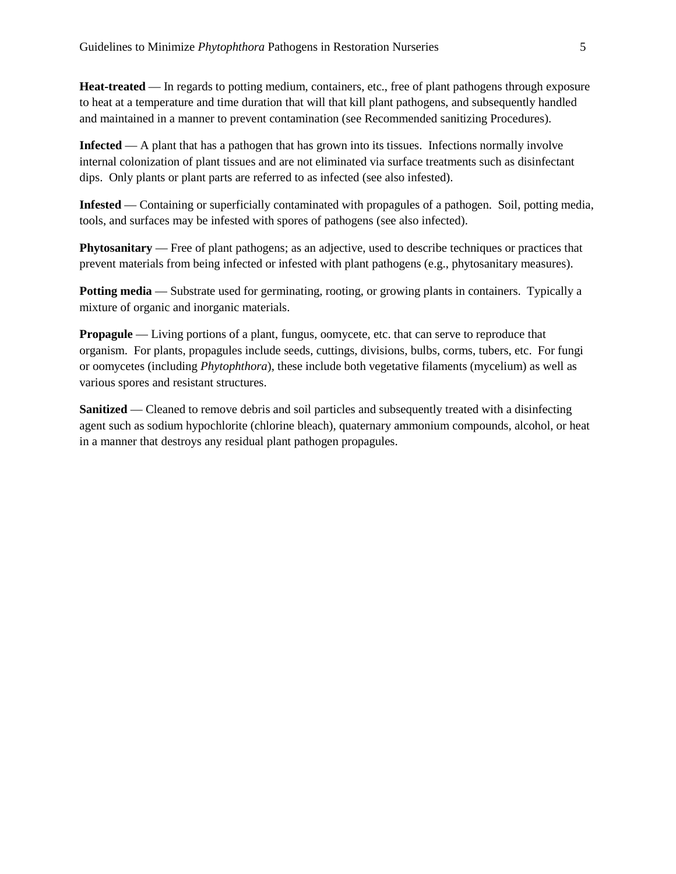**Heat-treated** — In regards to potting medium, containers, etc., free of plant pathogens through exposure to heat at a temperature and time duration that will that kill plant pathogens, and subsequently handled and maintained in a manner to prevent contamination (see Recommended sanitizing Procedures).

**Infected** — A plant that has a pathogen that has grown into its tissues. Infections normally involve internal colonization of plant tissues and are not eliminated via surface treatments such as disinfectant dips. Only plants or plant parts are referred to as infected (see also infested).

**Infested** — Containing or superficially contaminated with propagules of a pathogen. Soil, potting media, tools, and surfaces may be infested with spores of pathogens (see also infected).

**Phytosanitary** — Free of plant pathogens; as an adjective, used to describe techniques or practices that prevent materials from being infected or infested with plant pathogens (e.g., phytosanitary measures).

**Potting media** — Substrate used for germinating, rooting, or growing plants in containers. Typically a mixture of organic and inorganic materials.

**Propagule** — Living portions of a plant, fungus, oomycete, etc. that can serve to reproduce that organism. For plants, propagules include seeds, cuttings, divisions, bulbs, corms, tubers, etc. For fungi or oomycetes (including *Phytophthora*), these include both vegetative filaments (mycelium) as well as various spores and resistant structures.

**Sanitized** — Cleaned to remove debris and soil particles and subsequently treated with a disinfecting agent such as sodium hypochlorite (chlorine bleach), quaternary ammonium compounds, alcohol, or heat in a manner that destroys any residual plant pathogen propagules.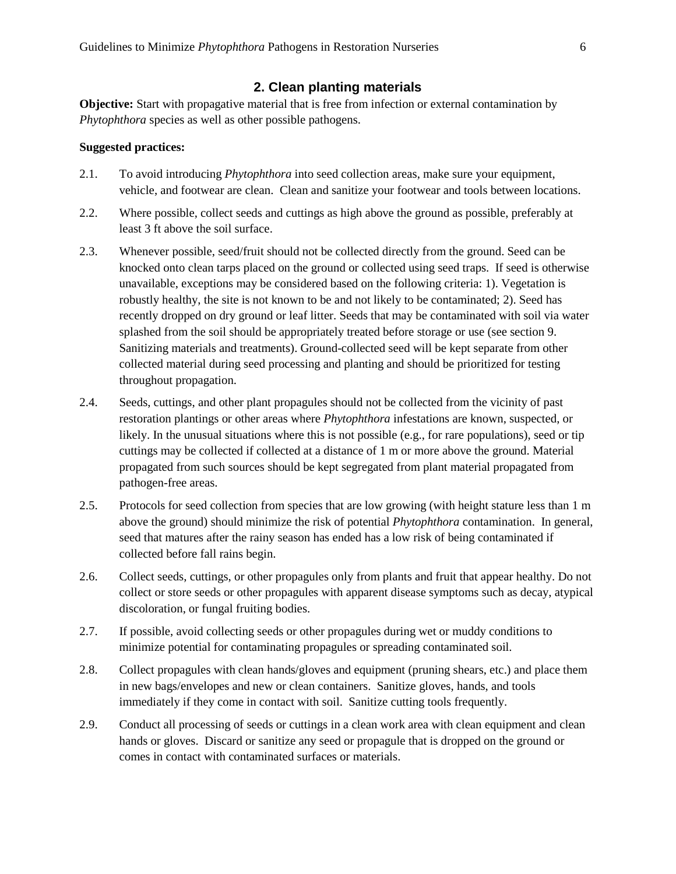### **2. Clean planting materials**

<span id="page-5-0"></span>**Objective:** Start with propagative material that is free from infection or external contamination by *Phytophthora* species as well as other possible pathogens.

- 2.1. To avoid introducing *Phytophthora* into seed collection areas, make sure your equipment, vehicle, and footwear are clean. Clean and sanitize your footwear and tools between locations.
- 2.2. Where possible, collect seeds and cuttings as high above the ground as possible, preferably at least 3 ft above the soil surface.
- 2.3. Whenever possible, seed/fruit should not be collected directly from the ground. Seed can be knocked onto clean tarps placed on the ground or collected using seed traps. If seed is otherwise unavailable, exceptions may be considered based on the following criteria: 1). Vegetation is robustly healthy, the site is not known to be and not likely to be contaminated; 2). Seed has recently dropped on dry ground or leaf litter. Seeds that may be contaminated with soil via water splashed from the soil should be appropriately treated before storage or use (see section 9. Sanitizing materials and treatments). Ground-collected seed will be kept separate from other collected material during seed processing and planting and should be prioritized for testing throughout propagation.
- 2.4. Seeds, cuttings, and other plant propagules should not be collected from the vicinity of past restoration plantings or other areas where *Phytophthora* infestations are known, suspected, or likely. In the unusual situations where this is not possible (e.g., for rare populations), seed or tip cuttings may be collected if collected at a distance of 1 m or more above the ground. Material propagated from such sources should be kept segregated from plant material propagated from pathogen-free areas.
- 2.5. Protocols for seed collection from species that are low growing (with height stature less than 1 m above the ground) should minimize the risk of potential *Phytophthora* contamination. In general, seed that matures after the rainy season has ended has a low risk of being contaminated if collected before fall rains begin.
- 2.6. Collect seeds, cuttings, or other propagules only from plants and fruit that appear healthy. Do not collect or store seeds or other propagules with apparent disease symptoms such as decay, atypical discoloration, or fungal fruiting bodies.
- 2.7. If possible, avoid collecting seeds or other propagules during wet or muddy conditions to minimize potential for contaminating propagules or spreading contaminated soil.
- 2.8. Collect propagules with clean hands/gloves and equipment (pruning shears, etc.) and place them in new bags/envelopes and new or clean containers. Sanitize gloves, hands, and tools immediately if they come in contact with soil. Sanitize cutting tools frequently.
- 2.9. Conduct all processing of seeds or cuttings in a clean work area with clean equipment and clean hands or gloves. Discard or sanitize any seed or propagule that is dropped on the ground or comes in contact with contaminated surfaces or materials.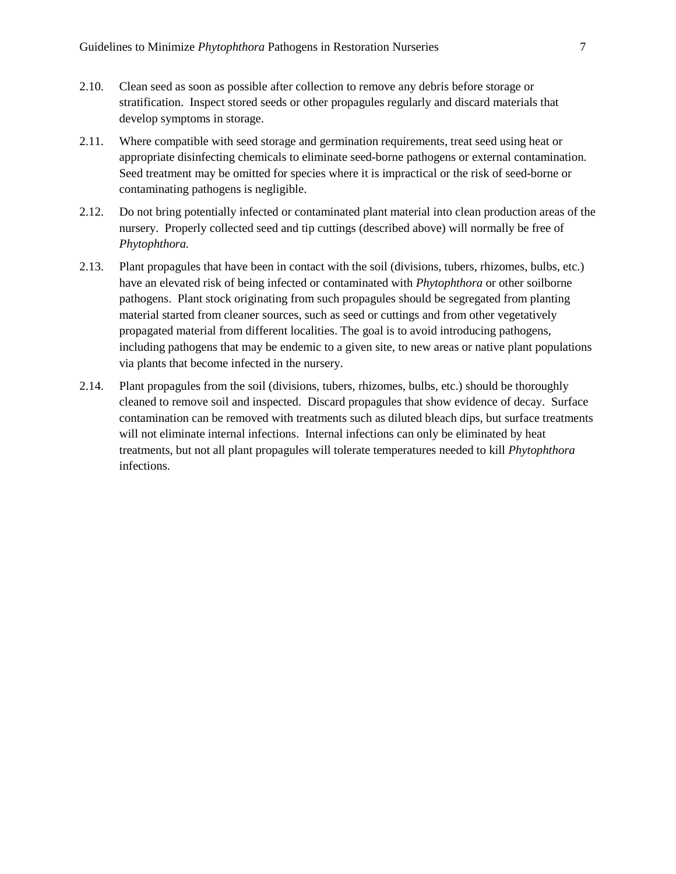- 2.10. Clean seed as soon as possible after collection to remove any debris before storage or stratification. Inspect stored seeds or other propagules regularly and discard materials that develop symptoms in storage.
- 2.11. Where compatible with seed storage and germination requirements, treat seed using heat or appropriate disinfecting chemicals to eliminate seed-borne pathogens or external contamination. Seed treatment may be omitted for species where it is impractical or the risk of seed-borne or contaminating pathogens is negligible.
- 2.12. Do not bring potentially infected or contaminated plant material into clean production areas of the nursery. Properly collected seed and tip cuttings (described above) will normally be free of *Phytophthora.*
- 2.13. Plant propagules that have been in contact with the soil (divisions, tubers, rhizomes, bulbs, etc.) have an elevated risk of being infected or contaminated with *Phytophthora* or other soilborne pathogens. Plant stock originating from such propagules should be segregated from planting material started from cleaner sources, such as seed or cuttings and from other vegetatively propagated material from different localities. The goal is to avoid introducing pathogens, including pathogens that may be endemic to a given site, to new areas or native plant populations via plants that become infected in the nursery.
- 2.14. Plant propagules from the soil (divisions, tubers, rhizomes, bulbs, etc.) should be thoroughly cleaned to remove soil and inspected. Discard propagules that show evidence of decay. Surface contamination can be removed with treatments such as diluted bleach dips, but surface treatments will not eliminate internal infections. Internal infections can only be eliminated by heat treatments, but not all plant propagules will tolerate temperatures needed to kill *Phytophthora* infections.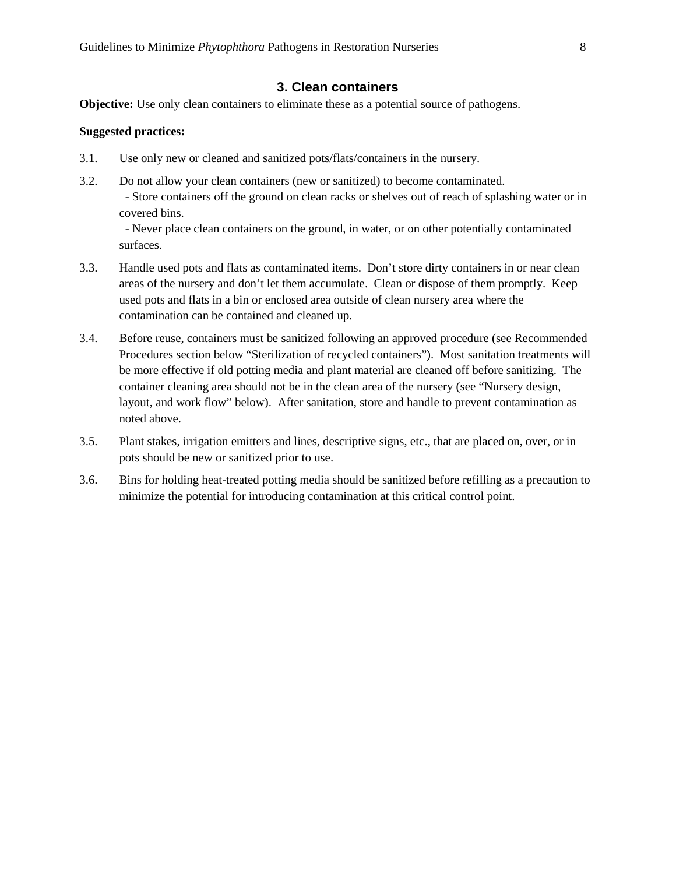### **3. Clean containers**

<span id="page-7-0"></span>**Objective:** Use only clean containers to eliminate these as a potential source of pathogens.

#### **Suggested practices:**

- 3.1. Use only new or cleaned and sanitized pots/flats/containers in the nursery.
- 3.2. Do not allow your clean containers (new or sanitized) to become contaminated. - Store containers off the ground on clean racks or shelves out of reach of splashing water or in covered bins.

 - Never place clean containers on the ground, in water, or on other potentially contaminated surfaces.

- 3.3. Handle used pots and flats as contaminated items. Don't store dirty containers in or near clean areas of the nursery and don't let them accumulate. Clean or dispose of them promptly. Keep used pots and flats in a bin or enclosed area outside of clean nursery area where the contamination can be contained and cleaned up.
- 3.4. Before reuse, containers must be sanitized following an approved procedure (see Recommended Procedures section below "Sterilization of recycled containers"). Most sanitation treatments will be more effective if old potting media and plant material are cleaned off before sanitizing. The container cleaning area should not be in the clean area of the nursery (see "Nursery design, layout, and work flow" below). After sanitation, store and handle to prevent contamination as noted above.
- 3.5. Plant stakes, irrigation emitters and lines, descriptive signs, etc., that are placed on, over, or in pots should be new or sanitized prior to use.
- 3.6. Bins for holding heat-treated potting media should be sanitized before refilling as a precaution to minimize the potential for introducing contamination at this critical control point.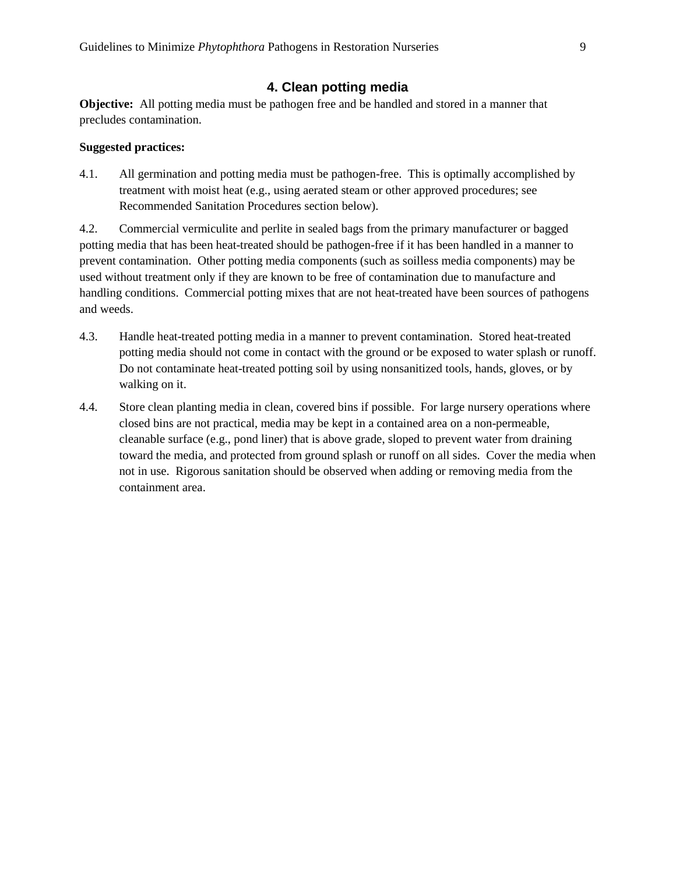### **4. Clean potting media**

<span id="page-8-0"></span>**Objective:** All potting media must be pathogen free and be handled and stored in a manner that precludes contamination.

#### **Suggested practices:**

4.1. All germination and potting media must be pathogen-free. This is optimally accomplished by treatment with moist heat (e.g., using aerated steam or other approved procedures; see Recommended Sanitation Procedures section below).

4.2. Commercial vermiculite and perlite in sealed bags from the primary manufacturer or bagged potting media that has been heat-treated should be pathogen-free if it has been handled in a manner to prevent contamination. Other potting media components (such as soilless media components) may be used without treatment only if they are known to be free of contamination due to manufacture and handling conditions. Commercial potting mixes that are not heat-treated have been sources of pathogens and weeds.

- 4.3. Handle heat-treated potting media in a manner to prevent contamination. Stored heat-treated potting media should not come in contact with the ground or be exposed to water splash or runoff. Do not contaminate heat-treated potting soil by using nonsanitized tools, hands, gloves, or by walking on it.
- 4.4. Store clean planting media in clean, covered bins if possible. For large nursery operations where closed bins are not practical, media may be kept in a contained area on a non-permeable, cleanable surface (e.g., pond liner) that is above grade, sloped to prevent water from draining toward the media, and protected from ground splash or runoff on all sides. Cover the media when not in use. Rigorous sanitation should be observed when adding or removing media from the containment area.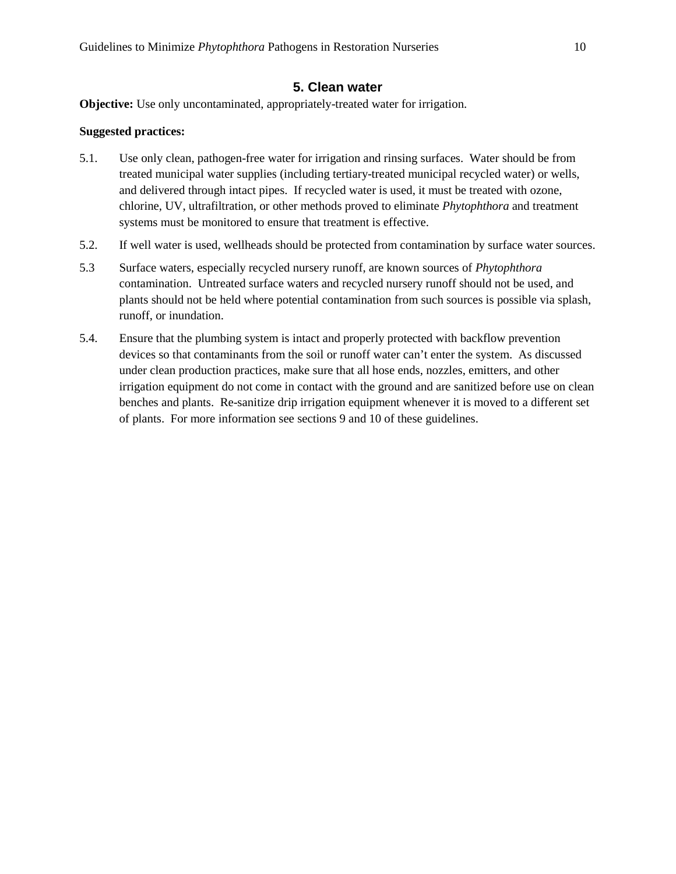### **5. Clean water**

<span id="page-9-0"></span>**Objective:** Use only uncontaminated, appropriately-treated water for irrigation.

- 5.1. Use only clean, pathogen-free water for irrigation and rinsing surfaces. Water should be from treated municipal water supplies (including tertiary-treated municipal recycled water) or wells, and delivered through intact pipes. If recycled water is used, it must be treated with ozone, chlorine, UV, ultrafiltration, or other methods proved to eliminate *Phytophthora* and treatment systems must be monitored to ensure that treatment is effective.
- 5.2. If well water is used, wellheads should be protected from contamination by surface water sources.
- 5.3 Surface waters, especially recycled nursery runoff, are known sources of *Phytophthora*  contamination. Untreated surface waters and recycled nursery runoff should not be used, and plants should not be held where potential contamination from such sources is possible via splash, runoff, or inundation.
- 5.4. Ensure that the plumbing system is intact and properly protected with backflow prevention devices so that contaminants from the soil or runoff water can't enter the system. As discussed under clean production practices, make sure that all hose ends, nozzles, emitters, and other irrigation equipment do not come in contact with the ground and are sanitized before use on clean benches and plants. Re-sanitize drip irrigation equipment whenever it is moved to a different set of plants. For more information see sections 9 and 10 of these guidelines.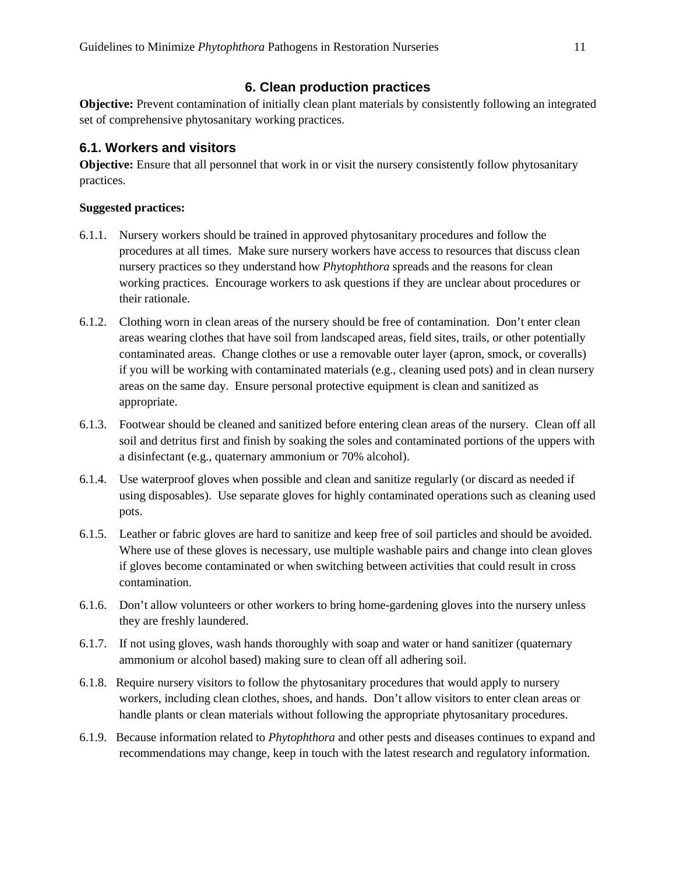### **6. Clean production practices**

<span id="page-10-0"></span>**Objective:** Prevent contamination of initially clean plant materials by consistently following an integrated set of comprehensive phytosanitary working practices.

### <span id="page-10-1"></span>**6.1. Workers and visitors**

**Objective:** Ensure that all personnel that work in or visit the nursery consistently follow phytosanitary practices.

- 6.1.1. Nursery workers should be trained in approved phytosanitary procedures and follow the procedures at all times. Make sure nursery workers have access to resources that discuss clean nursery practices so they understand how *Phytophthora* spreads and the reasons for clean working practices. Encourage workers to ask questions if they are unclear about procedures or their rationale.
- 6.1.2. Clothing worn in clean areas of the nursery should be free of contamination. Don't enter clean areas wearing clothes that have soil from landscaped areas, field sites, trails, or other potentially contaminated areas. Change clothes or use a removable outer layer (apron, smock, or coveralls) if you will be working with contaminated materials (e.g., cleaning used pots) and in clean nursery areas on the same day. Ensure personal protective equipment is clean and sanitized as appropriate.
- 6.1.3. Footwear should be cleaned and sanitized before entering clean areas of the nursery. Clean off all soil and detritus first and finish by soaking the soles and contaminated portions of the uppers with a disinfectant (e.g., quaternary ammonium or 70% alcohol).
- 6.1.4. Use waterproof gloves when possible and clean and sanitize regularly (or discard as needed if using disposables). Use separate gloves for highly contaminated operations such as cleaning used pots.
- 6.1.5. Leather or fabric gloves are hard to sanitize and keep free of soil particles and should be avoided. Where use of these gloves is necessary, use multiple washable pairs and change into clean gloves if gloves become contaminated or when switching between activities that could result in cross contamination.
- 6.1.6. Don't allow volunteers or other workers to bring home-gardening gloves into the nursery unless they are freshly laundered.
- 6.1.7. If not using gloves, wash hands thoroughly with soap and water or hand sanitizer (quaternary ammonium or alcohol based) making sure to clean off all adhering soil.
- 6.1.8. Require nursery visitors to follow the phytosanitary procedures that would apply to nursery workers, including clean clothes, shoes, and hands. Don't allow visitors to enter clean areas or handle plants or clean materials without following the appropriate phytosanitary procedures.
- 6.1.9. Because information related to *Phytophthora* and other pests and diseases continues to expand and recommendations may change, keep in touch with the latest research and regulatory information.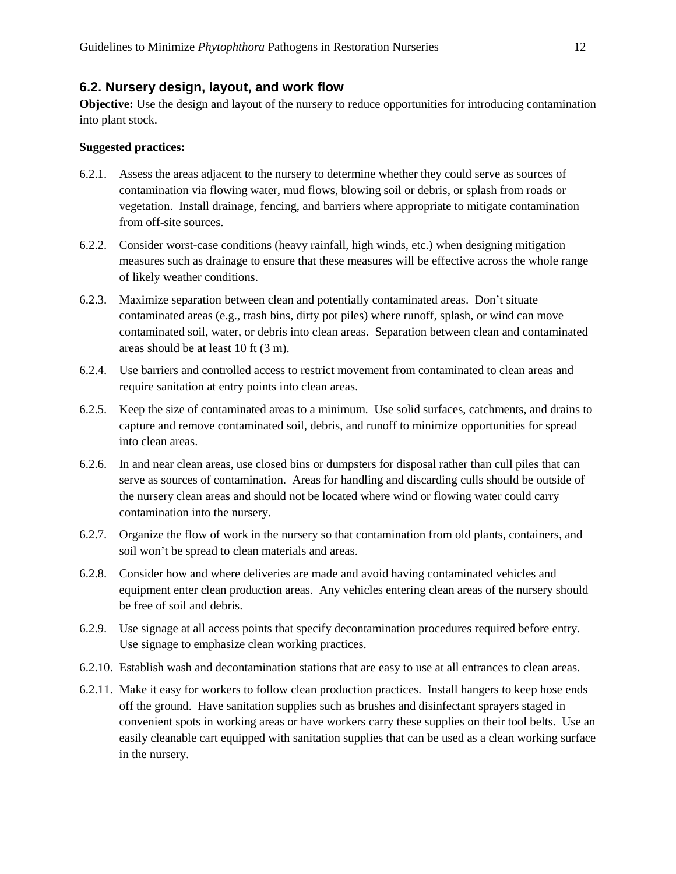### <span id="page-11-0"></span>**6.2. Nursery design, layout, and work flow**

**Objective:** Use the design and layout of the nursery to reduce opportunities for introducing contamination into plant stock.

- 6.2.1. Assess the areas adjacent to the nursery to determine whether they could serve as sources of contamination via flowing water, mud flows, blowing soil or debris, or splash from roads or vegetation. Install drainage, fencing, and barriers where appropriate to mitigate contamination from off-site sources.
- 6.2.2. Consider worst-case conditions (heavy rainfall, high winds, etc.) when designing mitigation measures such as drainage to ensure that these measures will be effective across the whole range of likely weather conditions.
- 6.2.3. Maximize separation between clean and potentially contaminated areas. Don't situate contaminated areas (e.g., trash bins, dirty pot piles) where runoff, splash, or wind can move contaminated soil, water, or debris into clean areas. Separation between clean and contaminated areas should be at least 10 ft (3 m).
- 6.2.4. Use barriers and controlled access to restrict movement from contaminated to clean areas and require sanitation at entry points into clean areas.
- 6.2.5. Keep the size of contaminated areas to a minimum. Use solid surfaces, catchments, and drains to capture and remove contaminated soil, debris, and runoff to minimize opportunities for spread into clean areas.
- 6.2.6. In and near clean areas, use closed bins or dumpsters for disposal rather than cull piles that can serve as sources of contamination. Areas for handling and discarding culls should be outside of the nursery clean areas and should not be located where wind or flowing water could carry contamination into the nursery.
- 6.2.7. Organize the flow of work in the nursery so that contamination from old plants, containers, and soil won't be spread to clean materials and areas.
- 6.2.8. Consider how and where deliveries are made and avoid having contaminated vehicles and equipment enter clean production areas. Any vehicles entering clean areas of the nursery should be free of soil and debris.
- 6.2.9. Use signage at all access points that specify decontamination procedures required before entry. Use signage to emphasize clean working practices.
- 6.2.10. Establish wash and decontamination stations that are easy to use at all entrances to clean areas.
- 6.2.11. Make it easy for workers to follow clean production practices. Install hangers to keep hose ends off the ground. Have sanitation supplies such as brushes and disinfectant sprayers staged in convenient spots in working areas or have workers carry these supplies on their tool belts. Use an easily cleanable cart equipped with sanitation supplies that can be used as a clean working surface in the nursery.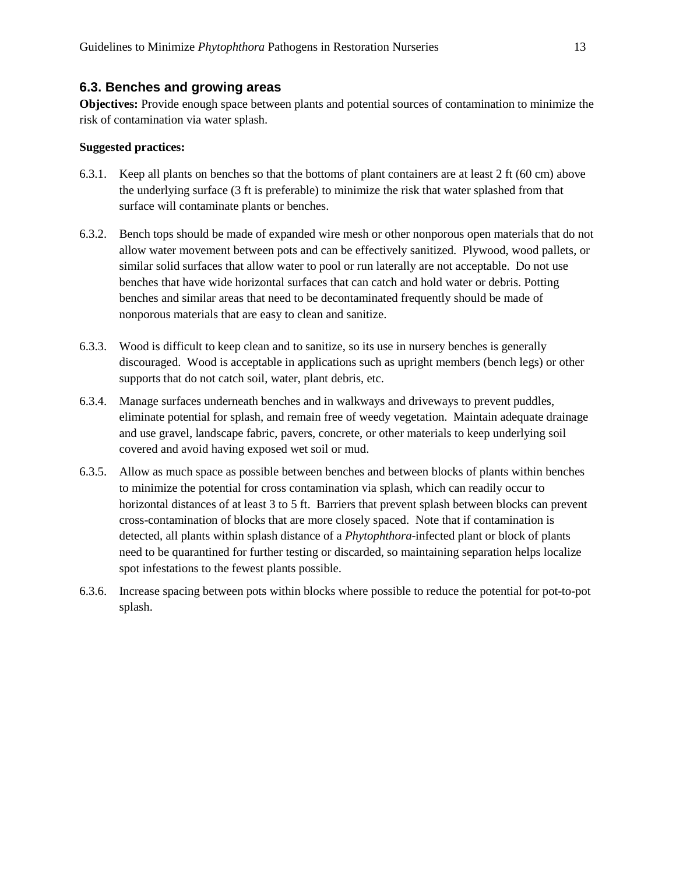#### <span id="page-12-0"></span>**6.3. Benches and growing areas**

**Objectives:** Provide enough space between plants and potential sources of contamination to minimize the risk of contamination via water splash.

- 6.3.1. Keep all plants on benches so that the bottoms of plant containers are at least 2 ft (60 cm) above the underlying surface (3 ft is preferable) to minimize the risk that water splashed from that surface will contaminate plants or benches.
- 6.3.2. Bench tops should be made of expanded wire mesh or other nonporous open materials that do not allow water movement between pots and can be effectively sanitized. Plywood, wood pallets, or similar solid surfaces that allow water to pool or run laterally are not acceptable. Do not use benches that have wide horizontal surfaces that can catch and hold water or debris. Potting benches and similar areas that need to be decontaminated frequently should be made of nonporous materials that are easy to clean and sanitize.
- 6.3.3. Wood is difficult to keep clean and to sanitize, so its use in nursery benches is generally discouraged. Wood is acceptable in applications such as upright members (bench legs) or other supports that do not catch soil, water, plant debris, etc.
- 6.3.4. Manage surfaces underneath benches and in walkways and driveways to prevent puddles, eliminate potential for splash, and remain free of weedy vegetation. Maintain adequate drainage and use gravel, landscape fabric, pavers, concrete, or other materials to keep underlying soil covered and avoid having exposed wet soil or mud.
- 6.3.5. Allow as much space as possible between benches and between blocks of plants within benches to minimize the potential for cross contamination via splash, which can readily occur to horizontal distances of at least 3 to 5 ft. Barriers that prevent splash between blocks can prevent cross-contamination of blocks that are more closely spaced. Note that if contamination is detected, all plants within splash distance of a *Phytophthora*-infected plant or block of plants need to be quarantined for further testing or discarded, so maintaining separation helps localize spot infestations to the fewest plants possible.
- 6.3.6. Increase spacing between pots within blocks where possible to reduce the potential for pot-to-pot splash.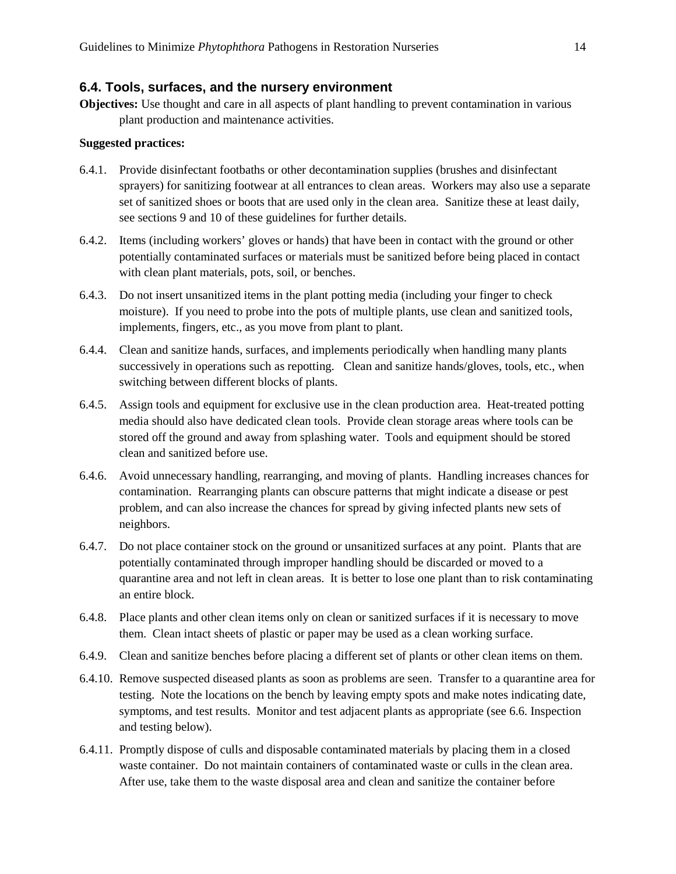#### <span id="page-13-0"></span>**6.4. Tools, surfaces, and the nursery environment**

**Objectives:** Use thought and care in all aspects of plant handling to prevent contamination in various plant production and maintenance activities.

- 6.4.1. Provide disinfectant footbaths or other decontamination supplies (brushes and disinfectant sprayers) for sanitizing footwear at all entrances to clean areas. Workers may also use a separate set of sanitized shoes or boots that are used only in the clean area. Sanitize these at least daily, see sections 9 and 10 of these guidelines for further details.
- 6.4.2. Items (including workers' gloves or hands) that have been in contact with the ground or other potentially contaminated surfaces or materials must be sanitized before being placed in contact with clean plant materials, pots, soil, or benches.
- 6.4.3. Do not insert unsanitized items in the plant potting media (including your finger to check moisture). If you need to probe into the pots of multiple plants, use clean and sanitized tools, implements, fingers, etc., as you move from plant to plant.
- 6.4.4. Clean and sanitize hands, surfaces, and implements periodically when handling many plants successively in operations such as repotting. Clean and sanitize hands/gloves, tools, etc., when switching between different blocks of plants.
- 6.4.5. Assign tools and equipment for exclusive use in the clean production area. Heat-treated potting media should also have dedicated clean tools. Provide clean storage areas where tools can be stored off the ground and away from splashing water. Tools and equipment should be stored clean and sanitized before use.
- 6.4.6. Avoid unnecessary handling, rearranging, and moving of plants. Handling increases chances for contamination. Rearranging plants can obscure patterns that might indicate a disease or pest problem, and can also increase the chances for spread by giving infected plants new sets of neighbors.
- 6.4.7. Do not place container stock on the ground or unsanitized surfaces at any point. Plants that are potentially contaminated through improper handling should be discarded or moved to a quarantine area and not left in clean areas. It is better to lose one plant than to risk contaminating an entire block.
- 6.4.8. Place plants and other clean items only on clean or sanitized surfaces if it is necessary to move them. Clean intact sheets of plastic or paper may be used as a clean working surface.
- 6.4.9. Clean and sanitize benches before placing a different set of plants or other clean items on them.
- 6.4.10. Remove suspected diseased plants as soon as problems are seen. Transfer to a quarantine area for testing. Note the locations on the bench by leaving empty spots and make notes indicating date, symptoms, and test results. Monitor and test adjacent plants as appropriate (see 6.6. Inspection and testing below).
- 6.4.11. Promptly dispose of culls and disposable contaminated materials by placing them in a closed waste container. Do not maintain containers of contaminated waste or culls in the clean area. After use, take them to the waste disposal area and clean and sanitize the container before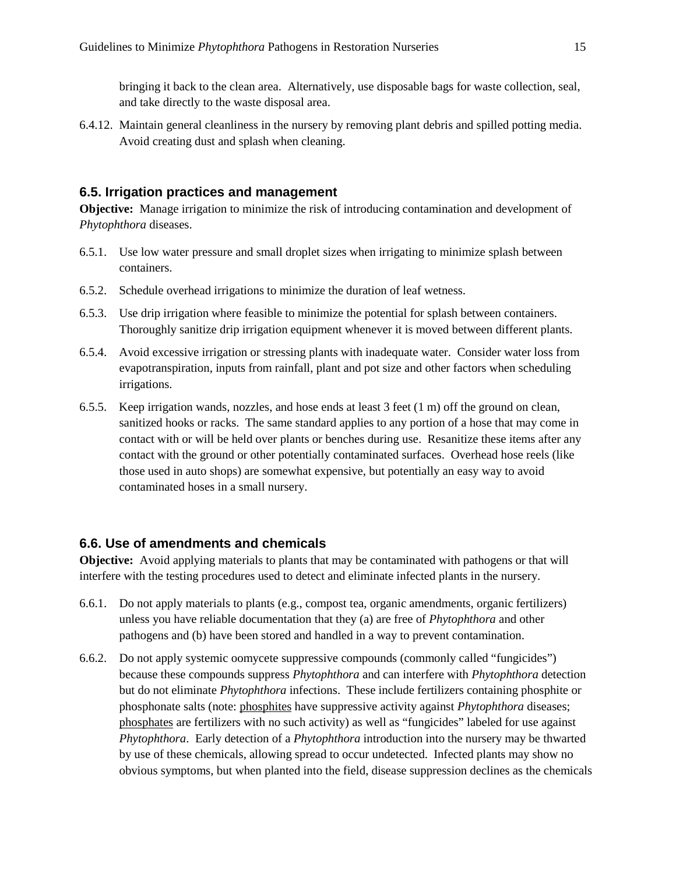bringing it back to the clean area. Alternatively, use disposable bags for waste collection, seal, and take directly to the waste disposal area.

6.4.12. Maintain general cleanliness in the nursery by removing plant debris and spilled potting media. Avoid creating dust and splash when cleaning.

### <span id="page-14-0"></span>**6.5. Irrigation practices and management**

**Objective:** Manage irrigation to minimize the risk of introducing contamination and development of *Phytophthora* diseases.

- 6.5.1. Use low water pressure and small droplet sizes when irrigating to minimize splash between containers.
- 6.5.2. Schedule overhead irrigations to minimize the duration of leaf wetness.
- 6.5.3. Use drip irrigation where feasible to minimize the potential for splash between containers. Thoroughly sanitize drip irrigation equipment whenever it is moved between different plants.
- 6.5.4. Avoid excessive irrigation or stressing plants with inadequate water. Consider water loss from evapotranspiration, inputs from rainfall, plant and pot size and other factors when scheduling irrigations.
- 6.5.5. Keep irrigation wands, nozzles, and hose ends at least 3 feet (1 m) off the ground on clean, sanitized hooks or racks. The same standard applies to any portion of a hose that may come in contact with or will be held over plants or benches during use. Resanitize these items after any contact with the ground or other potentially contaminated surfaces. Overhead hose reels (like those used in auto shops) are somewhat expensive, but potentially an easy way to avoid contaminated hoses in a small nursery.

### **6.6. Use of amendments and chemicals**

**Objective:** Avoid applying materials to plants that may be contaminated with pathogens or that will interfere with the testing procedures used to detect and eliminate infected plants in the nursery.

- 6.6.1. Do not apply materials to plants (e.g., compost tea, organic amendments, organic fertilizers) unless you have reliable documentation that they (a) are free of *Phytophthora* and other pathogens and (b) have been stored and handled in a way to prevent contamination.
- 6.6.2. Do not apply systemic oomycete suppressive compounds (commonly called "fungicides") because these compounds suppress *Phytophthora* and can interfere with *Phytophthora* detection but do not eliminate *Phytophthora* infections. These include fertilizers containing phosphite or phosphonate salts (note: phosphites have suppressive activity against *Phytophthora* diseases; phosphates are fertilizers with no such activity) as well as "fungicides" labeled for use against *Phytophthora*. Early detection of a *Phytophthora* introduction into the nursery may be thwarted by use of these chemicals, allowing spread to occur undetected. Infected plants may show no obvious symptoms, but when planted into the field, disease suppression declines as the chemicals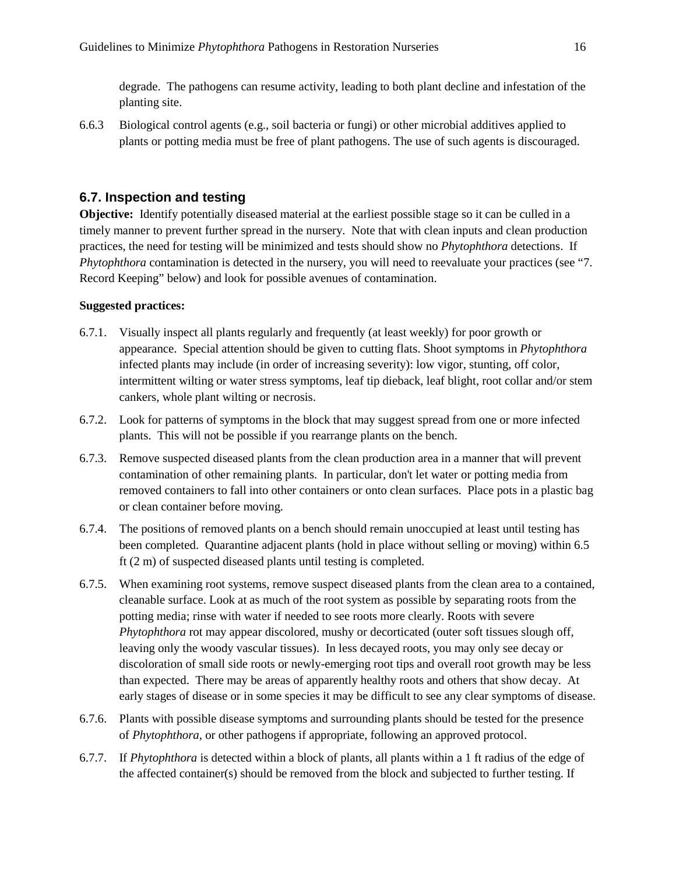degrade. The pathogens can resume activity, leading to both plant decline and infestation of the planting site.

6.6.3 Biological control agents (e.g., soil bacteria or fungi) or other microbial additives applied to plants or potting media must be free of plant pathogens. The use of such agents is discouraged.

### <span id="page-15-0"></span>**6.7. Inspection and testing**

**Objective:** Identify potentially diseased material at the earliest possible stage so it can be culled in a timely manner to prevent further spread in the nursery. Note that with clean inputs and clean production practices, the need for testing will be minimized and tests should show no *Phytophthora* detections. If *Phytophthora* contamination is detected in the nursery, you will need to reevaluate your practices (see "7. Record Keeping" below) and look for possible avenues of contamination.

- 6.7.1. Visually inspect all plants regularly and frequently (at least weekly) for poor growth or appearance. Special attention should be given to cutting flats. Shoot symptoms in *Phytophthora* infected plants may include (in order of increasing severity): low vigor, stunting, off color, intermittent wilting or water stress symptoms, leaf tip dieback, leaf blight, root collar and/or stem cankers, whole plant wilting or necrosis.
- 6.7.2. Look for patterns of symptoms in the block that may suggest spread from one or more infected plants. This will not be possible if you rearrange plants on the bench.
- 6.7.3. Remove suspected diseased plants from the clean production area in a manner that will prevent contamination of other remaining plants. In particular, don't let water or potting media from removed containers to fall into other containers or onto clean surfaces. Place pots in a plastic bag or clean container before moving.
- 6.7.4. The positions of removed plants on a bench should remain unoccupied at least until testing has been completed. Quarantine adjacent plants (hold in place without selling or moving) within 6.5 ft (2 m) of suspected diseased plants until testing is completed.
- 6.7.5. When examining root systems, remove suspect diseased plants from the clean area to a contained, cleanable surface. Look at as much of the root system as possible by separating roots from the potting media; rinse with water if needed to see roots more clearly. Roots with severe *Phytophthora* rot may appear discolored, mushy or decorticated (outer soft tissues slough off, leaving only the woody vascular tissues). In less decayed roots, you may only see decay or discoloration of small side roots or newly-emerging root tips and overall root growth may be less than expected. There may be areas of apparently healthy roots and others that show decay. At early stages of disease or in some species it may be difficult to see any clear symptoms of disease.
- 6.7.6. Plants with possible disease symptoms and surrounding plants should be tested for the presence of *Phytophthora,* or other pathogens if appropriate, following an approved protocol.
- 6.7.7. If *Phytophthora* is detected within a block of plants, all plants within a 1 ft radius of the edge of the affected container(s) should be removed from the block and subjected to further testing. If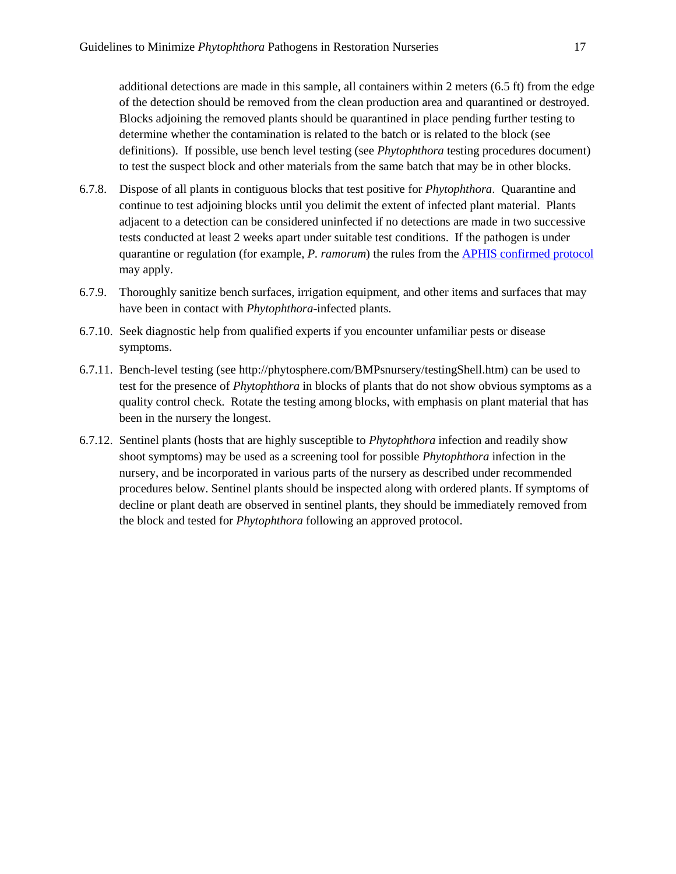additional detections are made in this sample, all containers within 2 meters (6.5 ft) from the edge of the detection should be removed from the clean production area and quarantined or destroyed. Blocks adjoining the removed plants should be quarantined in place pending further testing to determine whether the contamination is related to the batch or is related to the block (see definitions). If possible, use bench level testing (see *Phytophthora* testing procedures document) to test the suspect block and other materials from the same batch that may be in other blocks.

- 6.7.8. Dispose of all plants in contiguous blocks that test positive for *Phytophthora*. Quarantine and continue to test adjoining blocks until you delimit the extent of infected plant material. Plants adjacent to a detection can be considered uninfected if no detections are made in two successive tests conducted at least 2 weeks apart under suitable test conditions. If the pathogen is under quarantine or regulation (for example, *P. ramorum*) the rules from th[e APHIS confirmed protocol](https://www.aphis.usda.gov/plant_health/plant_pest_info/pram/downloads/pdf_files/ConfirmedNurseryProtocol.pdf) may apply.
- 6.7.9. Thoroughly sanitize bench surfaces, irrigation equipment, and other items and surfaces that may have been in contact with *Phytophthora*-infected plants.
- 6.7.10. Seek diagnostic help from qualified experts if you encounter unfamiliar pests or disease symptoms.
- 6.7.11. Bench-level testing (see http://phytosphere.com/BMPsnursery/testingShell.htm) can be used to test for the presence of *Phytophthora* in blocks of plants that do not show obvious symptoms as a quality control check. Rotate the testing among blocks, with emphasis on plant material that has been in the nursery the longest.
- 6.7.12. Sentinel plants (hosts that are highly susceptible to *Phytophthora* infection and readily show shoot symptoms) may be used as a screening tool for possible *Phytophthora* infection in the nursery, and be incorporated in various parts of the nursery as described under recommended procedures below. Sentinel plants should be inspected along with ordered plants. If symptoms of decline or plant death are observed in sentinel plants, they should be immediately removed from the block and tested for *Phytophthora* following an approved protocol.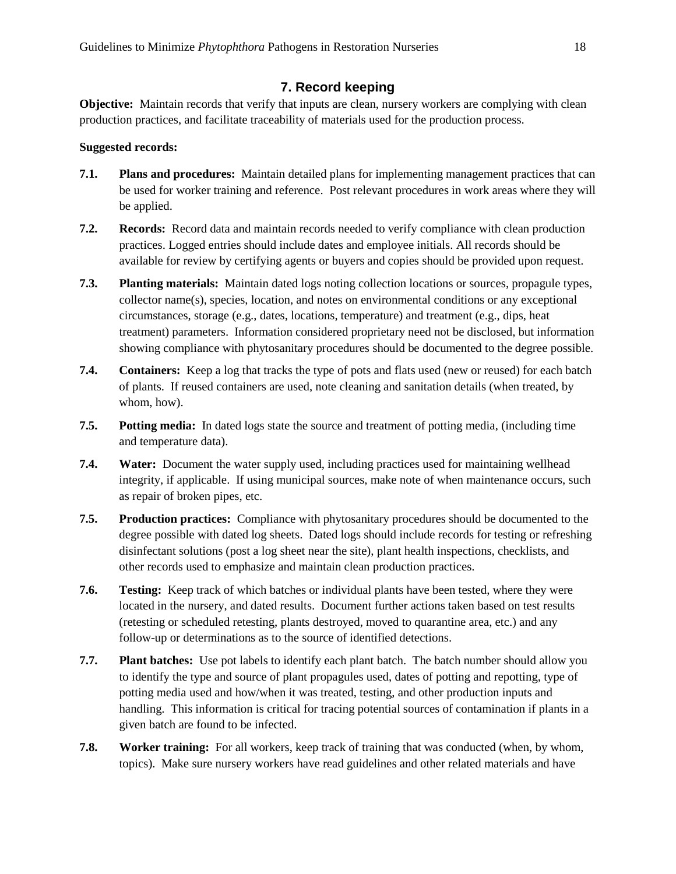### **7. Record keeping**

<span id="page-17-0"></span>**Objective:** Maintain records that verify that inputs are clean, nursery workers are complying with clean production practices, and facilitate traceability of materials used for the production process.

#### **Suggested records:**

- **7.1. Plans and procedures:** Maintain detailed plans for implementing management practices that can be used for worker training and reference. Post relevant procedures in work areas where they will be applied.
- **7.2. Records:** Record data and maintain records needed to verify compliance with clean production practices. Logged entries should include dates and employee initials. All records should be available for review by certifying agents or buyers and copies should be provided upon request.
- **7.3. Planting materials:** Maintain dated logs noting collection locations or sources, propagule types, collector name(s), species, location, and notes on environmental conditions or any exceptional circumstances, storage (e.g., dates, locations, temperature) and treatment (e.g., dips, heat treatment) parameters. Information considered proprietary need not be disclosed, but information showing compliance with phytosanitary procedures should be documented to the degree possible.
- **7.4. Containers:** Keep a log that tracks the type of pots and flats used (new or reused) for each batch of plants. If reused containers are used, note cleaning and sanitation details (when treated, by whom, how).
- **7.5. Potting media:** In dated logs state the source and treatment of potting media, (including time and temperature data).
- **7.4. Water:** Document the water supply used, including practices used for maintaining wellhead integrity, if applicable. If using municipal sources, make note of when maintenance occurs, such as repair of broken pipes, etc.
- **7.5. Production practices:** Compliance with phytosanitary procedures should be documented to the degree possible with dated log sheets. Dated logs should include records for testing or refreshing disinfectant solutions (post a log sheet near the site), plant health inspections, checklists, and other records used to emphasize and maintain clean production practices.
- **7.6. Testing:** Keep track of which batches or individual plants have been tested, where they were located in the nursery, and dated results. Document further actions taken based on test results (retesting or scheduled retesting, plants destroyed, moved to quarantine area, etc.) and any follow-up or determinations as to the source of identified detections.
- **7.7. Plant batches:** Use pot labels to identify each plant batch. The batch number should allow you to identify the type and source of plant propagules used, dates of potting and repotting, type of potting media used and how/when it was treated, testing, and other production inputs and handling. This information is critical for tracing potential sources of contamination if plants in a given batch are found to be infected.
- **7.8. Worker training:** For all workers, keep track of training that was conducted (when, by whom, topics). Make sure nursery workers have read guidelines and other related materials and have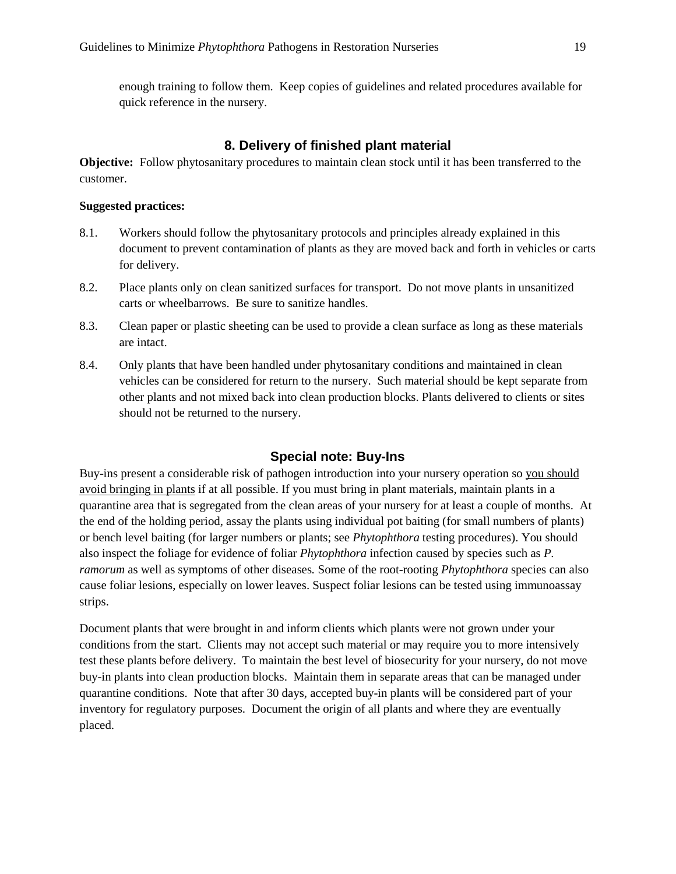enough training to follow them. Keep copies of guidelines and related procedures available for quick reference in the nursery.

### **8. Delivery of finished plant material**

<span id="page-18-0"></span>**Objective:** Follow phytosanitary procedures to maintain clean stock until it has been transferred to the customer.

#### **Suggested practices:**

- 8.1. Workers should follow the phytosanitary protocols and principles already explained in this document to prevent contamination of plants as they are moved back and forth in vehicles or carts for delivery.
- 8.2. Place plants only on clean sanitized surfaces for transport. Do not move plants in unsanitized carts or wheelbarrows. Be sure to sanitize handles.
- 8.3. Clean paper or plastic sheeting can be used to provide a clean surface as long as these materials are intact.
- 8.4. Only plants that have been handled under phytosanitary conditions and maintained in clean vehicles can be considered for return to the nursery. Such material should be kept separate from other plants and not mixed back into clean production blocks. Plants delivered to clients or sites should not be returned to the nursery.

#### **Special note: Buy-Ins**

<span id="page-18-1"></span>Buy-ins present a considerable risk of pathogen introduction into your nursery operation so you should avoid bringing in plants if at all possible. If you must bring in plant materials, maintain plants in a quarantine area that is segregated from the clean areas of your nursery for at least a couple of months. At the end of the holding period, assay the plants using individual pot baiting (for small numbers of plants) or bench level baiting (for larger numbers or plants; see *Phytophthora* testing procedures). You should also inspect the foliage for evidence of foliar *Phytophthora* infection caused by species such as *P. ramorum* as well as symptoms of other diseases*.* Some of the root-rooting *Phytophthora* species can also cause foliar lesions, especially on lower leaves. Suspect foliar lesions can be tested using immunoassay strips.

Document plants that were brought in and inform clients which plants were not grown under your conditions from the start. Clients may not accept such material or may require you to more intensively test these plants before delivery. To maintain the best level of biosecurity for your nursery, do not move buy-in plants into clean production blocks. Maintain them in separate areas that can be managed under quarantine conditions. Note that after 30 days, accepted buy-in plants will be considered part of your inventory for regulatory purposes. Document the origin of all plants and where they are eventually placed.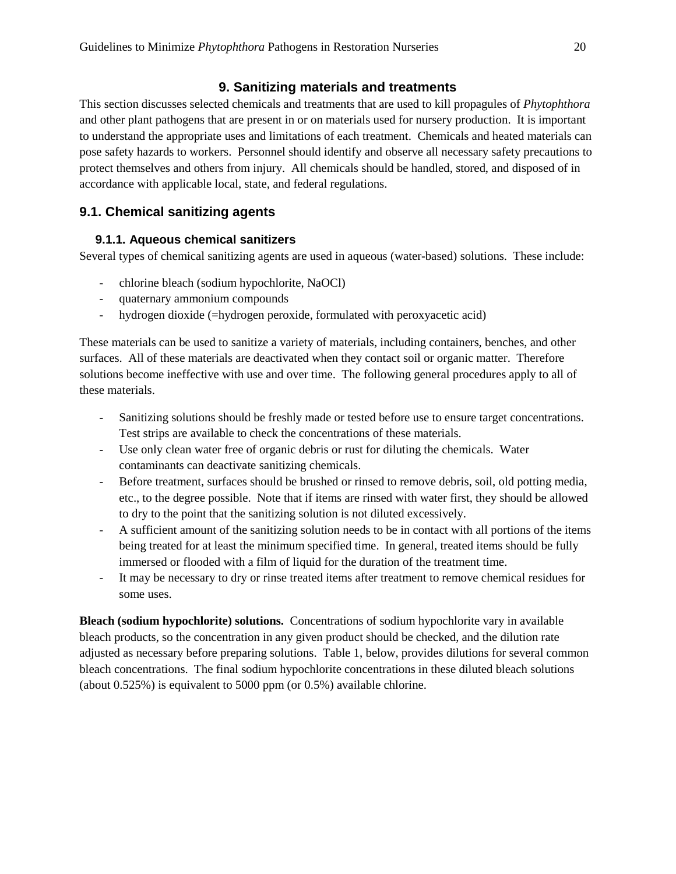### **9. Sanitizing materials and treatments**

<span id="page-19-0"></span>This section discusses selected chemicals and treatments that are used to kill propagules of *Phytophthora* and other plant pathogens that are present in or on materials used for nursery production. It is important to understand the appropriate uses and limitations of each treatment. Chemicals and heated materials can pose safety hazards to workers. Personnel should identify and observe all necessary safety precautions to protect themselves and others from injury. All chemicals should be handled, stored, and disposed of in accordance with applicable local, state, and federal regulations.

## <span id="page-19-2"></span><span id="page-19-1"></span>**9.1. Chemical sanitizing agents**

### **9.1.1. Aqueous chemical sanitizers**

Several types of chemical sanitizing agents are used in aqueous (water-based) solutions. These include:

- chlorine bleach (sodium hypochlorite, NaOCl)
- quaternary ammonium compounds
- hydrogen dioxide (=hydrogen peroxide, formulated with peroxyacetic acid)

These materials can be used to sanitize a variety of materials, including containers, benches, and other surfaces. All of these materials are deactivated when they contact soil or organic matter. Therefore solutions become ineffective with use and over time. The following general procedures apply to all of these materials.

- Sanitizing solutions should be freshly made or tested before use to ensure target concentrations. Test strips are available to check the concentrations of these materials.
- Use only clean water free of organic debris or rust for diluting the chemicals. Water contaminants can deactivate sanitizing chemicals.
- Before treatment, surfaces should be brushed or rinsed to remove debris, soil, old potting media, etc., to the degree possible. Note that if items are rinsed with water first, they should be allowed to dry to the point that the sanitizing solution is not diluted excessively.
- A sufficient amount of the sanitizing solution needs to be in contact with all portions of the items being treated for at least the minimum specified time. In general, treated items should be fully immersed or flooded with a film of liquid for the duration of the treatment time.
- It may be necessary to dry or rinse treated items after treatment to remove chemical residues for some uses.

**Bleach (sodium hypochlorite) solutions.** Concentrations of sodium hypochlorite vary in available bleach products, so the concentration in any given product should be checked, and the dilution rate adjusted as necessary before preparing solutions. Table 1, below, provides dilutions for several common bleach concentrations. The final sodium hypochlorite concentrations in these diluted bleach solutions (about 0.525%) is equivalent to 5000 ppm (or 0.5%) available chlorine.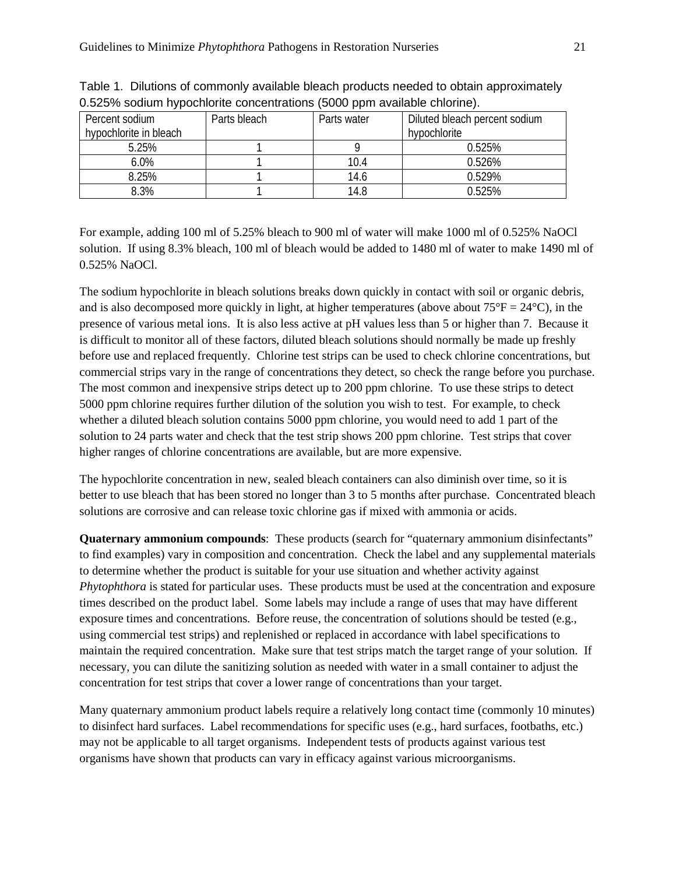| Percent sodium<br>hypochlorite in bleach | Parts bleach | Parts water | Diluted bleach percent sodium<br>hypochlorite |
|------------------------------------------|--------------|-------------|-----------------------------------------------|
| 5.25%                                    |              |             | 0.525%                                        |
| 6.0%                                     |              | 10.4        | 0.526%                                        |
| 8.25%                                    |              | 14.6        | 0.529%                                        |
| 8.3%                                     |              | 14.8        | 0.525%                                        |

Table 1. Dilutions of commonly available bleach products needed to obtain approximately 0.525% sodium hypochlorite concentrations (5000 ppm available chlorine).

For example, adding 100 ml of 5.25% bleach to 900 ml of water will make 1000 ml of 0.525% NaOCl solution. If using 8.3% bleach, 100 ml of bleach would be added to 1480 ml of water to make 1490 ml of 0.525% NaOCl.

The sodium hypochlorite in bleach solutions breaks down quickly in contact with soil or organic debris, and is also decomposed more quickly in light, at higher temperatures (above about  $75^{\circ}F = 24^{\circ}C$ ), in the presence of various metal ions. It is also less active at pH values less than 5 or higher than 7. Because it is difficult to monitor all of these factors, diluted bleach solutions should normally be made up freshly before use and replaced frequently. Chlorine test strips can be used to check chlorine concentrations, but commercial strips vary in the range of concentrations they detect, so check the range before you purchase. The most common and inexpensive strips detect up to 200 ppm chlorine. To use these strips to detect 5000 ppm chlorine requires further dilution of the solution you wish to test. For example, to check whether a diluted bleach solution contains 5000 ppm chlorine, you would need to add 1 part of the solution to 24 parts water and check that the test strip shows 200 ppm chlorine. Test strips that cover higher ranges of chlorine concentrations are available, but are more expensive.

The hypochlorite concentration in new, sealed bleach containers can also diminish over time, so it is better to use bleach that has been stored no longer than 3 to 5 months after purchase. Concentrated bleach solutions are corrosive and can release toxic chlorine gas if mixed with ammonia or acids.

**Quaternary ammonium compounds:** These products (search for "quaternary ammonium disinfectants" to find examples) vary in composition and concentration. Check the label and any supplemental materials to determine whether the product is suitable for your use situation and whether activity against *Phytophthora* is stated for particular uses. These products must be used at the concentration and exposure times described on the product label. Some labels may include a range of uses that may have different exposure times and concentrations. Before reuse, the concentration of solutions should be tested (e.g., using commercial test strips) and replenished or replaced in accordance with label specifications to maintain the required concentration. Make sure that test strips match the target range of your solution. If necessary, you can dilute the sanitizing solution as needed with water in a small container to adjust the concentration for test strips that cover a lower range of concentrations than your target.

Many quaternary ammonium product labels require a relatively long contact time (commonly 10 minutes) to disinfect hard surfaces. Label recommendations for specific uses (e.g., hard surfaces, footbaths, etc.) may not be applicable to all target organisms. Independent tests of products against various test organisms have shown that products can vary in efficacy against various microorganisms.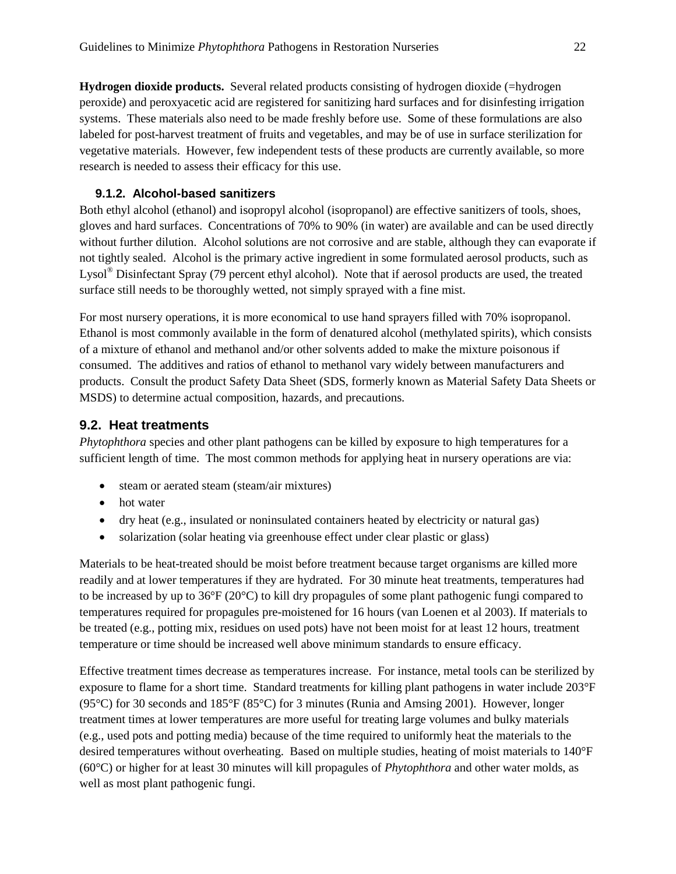**Hydrogen dioxide products.** Several related products consisting of hydrogen dioxide (=hydrogen peroxide) and peroxyacetic acid are registered for sanitizing hard surfaces and for disinfesting irrigation systems. These materials also need to be made freshly before use. Some of these formulations are also labeled for post-harvest treatment of fruits and vegetables, and may be of use in surface sterilization for vegetative materials. However, few independent tests of these products are currently available, so more research is needed to assess their efficacy for this use.

### <span id="page-21-0"></span>**9.1.2. Alcohol-based sanitizers**

Both ethyl alcohol (ethanol) and isopropyl alcohol (isopropanol) are effective sanitizers of tools, shoes, gloves and hard surfaces. Concentrations of 70% to 90% (in water) are available and can be used directly without further dilution. Alcohol solutions are not corrosive and are stable, although they can evaporate if not tightly sealed. Alcohol is the primary active ingredient in some formulated aerosol products, such as Lysol® Disinfectant Spray (79 percent ethyl alcohol). Note that if aerosol products are used, the treated surface still needs to be thoroughly wetted, not simply sprayed with a fine mist.

For most nursery operations, it is more economical to use hand sprayers filled with 70% isopropanol. Ethanol is most commonly available in the form of denatured alcohol (methylated spirits), which consists of a mixture of ethanol and methanol and/or other solvents added to make the mixture poisonous if consumed. The additives and ratios of ethanol to methanol vary widely between manufacturers and products. Consult the product Safety Data Sheet (SDS, formerly known as Material Safety Data Sheets or MSDS) to determine actual composition, hazards, and precautions.

### <span id="page-21-1"></span>**9.2. Heat treatments**

*Phytophthora* species and other plant pathogens can be killed by exposure to high temperatures for a sufficient length of time. The most common methods for applying heat in nursery operations are via:

- steam or aerated steam (steam/air mixtures)
- hot water
- dry heat (e.g., insulated or noninsulated containers heated by electricity or natural gas)
- solarization (solar heating via greenhouse effect under clear plastic or glass)

Materials to be heat-treated should be moist before treatment because target organisms are killed more readily and at lower temperatures if they are hydrated. For 30 minute heat treatments, temperatures had to be increased by up to 36°F (20°C) to kill dry propagules of some plant pathogenic fungi compared to temperatures required for propagules pre-moistened for 16 hours (van Loenen et al 2003). If materials to be treated (e.g., potting mix, residues on used pots) have not been moist for at least 12 hours, treatment temperature or time should be increased well above minimum standards to ensure efficacy.

Effective treatment times decrease as temperatures increase. For instance, metal tools can be sterilized by exposure to flame for a short time. Standard treatments for killing plant pathogens in water include 203°F (95°C) for 30 seconds and 185°F (85°C) for 3 minutes (Runia and Amsing 2001). However, longer treatment times at lower temperatures are more useful for treating large volumes and bulky materials (e.g., used pots and potting media) because of the time required to uniformly heat the materials to the desired temperatures without overheating. Based on multiple studies, heating of moist materials to 140°F (60°C) or higher for at least 30 minutes will kill propagules of *Phytophthora* and other water molds, as well as most plant pathogenic fungi.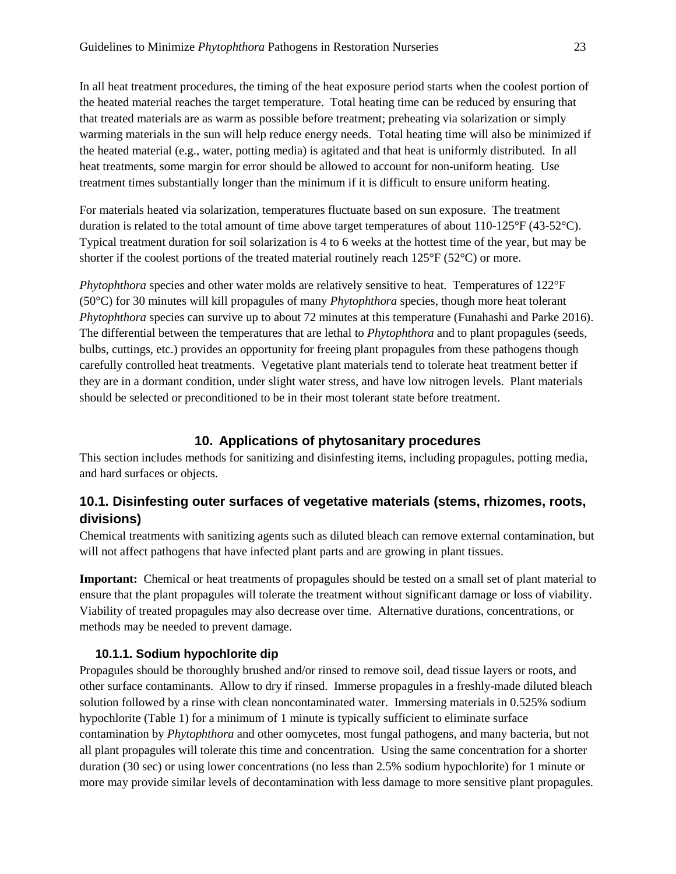In all heat treatment procedures, the timing of the heat exposure period starts when the coolest portion of the heated material reaches the target temperature. Total heating time can be reduced by ensuring that that treated materials are as warm as possible before treatment; preheating via solarization or simply warming materials in the sun will help reduce energy needs. Total heating time will also be minimized if the heated material (e.g., water, potting media) is agitated and that heat is uniformly distributed. In all heat treatments, some margin for error should be allowed to account for non-uniform heating. Use treatment times substantially longer than the minimum if it is difficult to ensure uniform heating.

For materials heated via solarization, temperatures fluctuate based on sun exposure. The treatment duration is related to the total amount of time above target temperatures of about 110-125°F (43-52°C). Typical treatment duration for soil solarization is 4 to 6 weeks at the hottest time of the year, but may be shorter if the coolest portions of the treated material routinely reach 125°F (52°C) or more.

*Phytophthora* species and other water molds are relatively sensitive to heat. Temperatures of 122°F (50°C) for 30 minutes will kill propagules of many *Phytophthora* species, though more heat tolerant *Phytophthora* species can survive up to about 72 minutes at this temperature (Funahashi and Parke 2016). The differential between the temperatures that are lethal to *Phytophthora* and to plant propagules (seeds, bulbs, cuttings, etc.) provides an opportunity for freeing plant propagules from these pathogens though carefully controlled heat treatments. Vegetative plant materials tend to tolerate heat treatment better if they are in a dormant condition, under slight water stress, and have low nitrogen levels. Plant materials should be selected or preconditioned to be in their most tolerant state before treatment.

### **10. Applications of phytosanitary procedures**

<span id="page-22-0"></span>This section includes methods for sanitizing and disinfesting items, including propagules, potting media, and hard surfaces or objects.

### <span id="page-22-1"></span>**10.1. Disinfesting outer surfaces of vegetative materials (stems, rhizomes, roots, divisions)**

Chemical treatments with sanitizing agents such as diluted bleach can remove external contamination, but will not affect pathogens that have infected plant parts and are growing in plant tissues.

**Important:** Chemical or heat treatments of propagules should be tested on a small set of plant material to ensure that the plant propagules will tolerate the treatment without significant damage or loss of viability. Viability of treated propagules may also decrease over time. Alternative durations, concentrations, or methods may be needed to prevent damage.

#### **10.1.1. Sodium hypochlorite dip**

<span id="page-22-2"></span>Propagules should be thoroughly brushed and/or rinsed to remove soil, dead tissue layers or roots, and other surface contaminants. Allow to dry if rinsed. Immerse propagules in a freshly-made diluted bleach solution followed by a rinse with clean noncontaminated water. Immersing materials in 0.525% sodium hypochlorite (Table 1) for a minimum of 1 minute is typically sufficient to eliminate surface contamination by *Phytophthora* and other oomycetes, most fungal pathogens, and many bacteria, but not all plant propagules will tolerate this time and concentration. Using the same concentration for a shorter duration (30 sec) or using lower concentrations (no less than 2.5% sodium hypochlorite) for 1 minute or more may provide similar levels of decontamination with less damage to more sensitive plant propagules.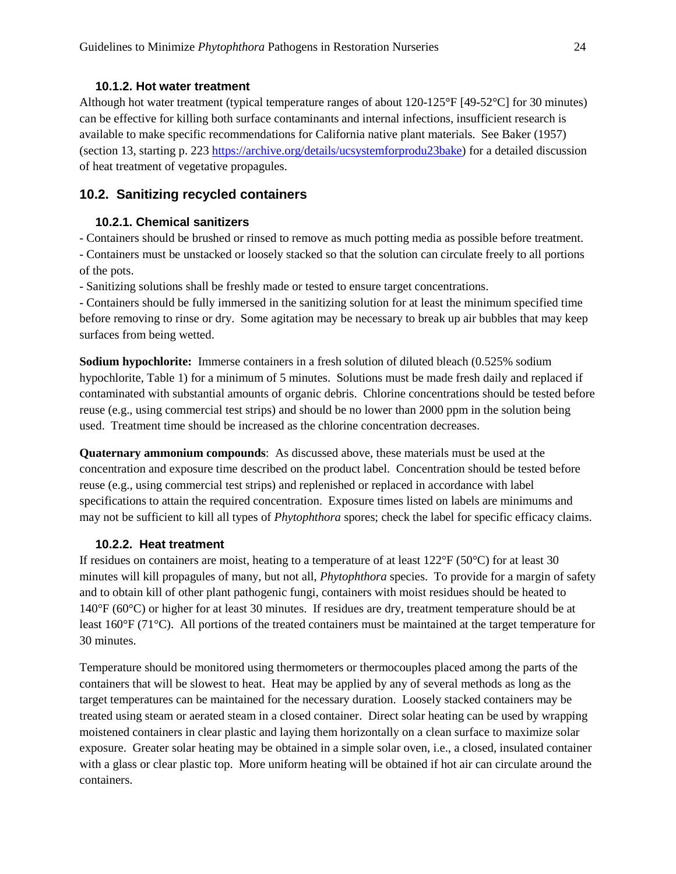#### **10.1.2. Hot water treatment**

<span id="page-23-0"></span>Although hot water treatment (typical temperature ranges of about 120-125**°**F [49-52°C] for 30 minutes) can be effective for killing both surface contaminants and internal infections, insufficient research is available to make specific recommendations for California native plant materials. See Baker (1957) (section 13, starting p. 223 [https://archive.org/details/ucsystemforprodu23bake\)](https://archive.org/details/ucsystemforprodu23bake) for a detailed discussion of heat treatment of vegetative propagules.

### <span id="page-23-2"></span><span id="page-23-1"></span>**10.2. Sanitizing recycled containers**

#### **10.2.1. Chemical sanitizers**

- Containers should be brushed or rinsed to remove as much potting media as possible before treatment. - Containers must be unstacked or loosely stacked so that the solution can circulate freely to all portions of the pots.

- Sanitizing solutions shall be freshly made or tested to ensure target concentrations.

- Containers should be fully immersed in the sanitizing solution for at least the minimum specified time before removing to rinse or dry. Some agitation may be necessary to break up air bubbles that may keep surfaces from being wetted.

**Sodium hypochlorite:** Immerse containers in a fresh solution of diluted bleach (0.525% sodium hypochlorite, Table 1) for a minimum of 5 minutes. Solutions must be made fresh daily and replaced if contaminated with substantial amounts of organic debris. Chlorine concentrations should be tested before reuse (e.g., using commercial test strips) and should be no lower than 2000 ppm in the solution being used. Treatment time should be increased as the chlorine concentration decreases.

**Quaternary ammonium compounds**: As discussed above, these materials must be used at the concentration and exposure time described on the product label. Concentration should be tested before reuse (e.g., using commercial test strips) and replenished or replaced in accordance with label specifications to attain the required concentration. Exposure times listed on labels are minimums and may not be sufficient to kill all types of *Phytophthora* spores; check the label for specific efficacy claims.

#### **10.2.2. Heat treatment**

<span id="page-23-3"></span>If residues on containers are moist, heating to a temperature of at least  $122^{\circ}F(50^{\circ}C)$  for at least 30 minutes will kill propagules of many, but not all, *Phytophthora* species. To provide for a margin of safety and to obtain kill of other plant pathogenic fungi, containers with moist residues should be heated to 140°F (60°C) or higher for at least 30 minutes. If residues are dry, treatment temperature should be at least 160°F (71°C). All portions of the treated containers must be maintained at the target temperature for 30 minutes.

Temperature should be monitored using thermometers or thermocouples placed among the parts of the containers that will be slowest to heat. Heat may be applied by any of several methods as long as the target temperatures can be maintained for the necessary duration. Loosely stacked containers may be treated using steam or aerated steam in a closed container. Direct solar heating can be used by wrapping moistened containers in clear plastic and laying them horizontally on a clean surface to maximize solar exposure. Greater solar heating may be obtained in a simple solar oven, i.e., a closed, insulated container with a glass or clear plastic top. More uniform heating will be obtained if hot air can circulate around the containers.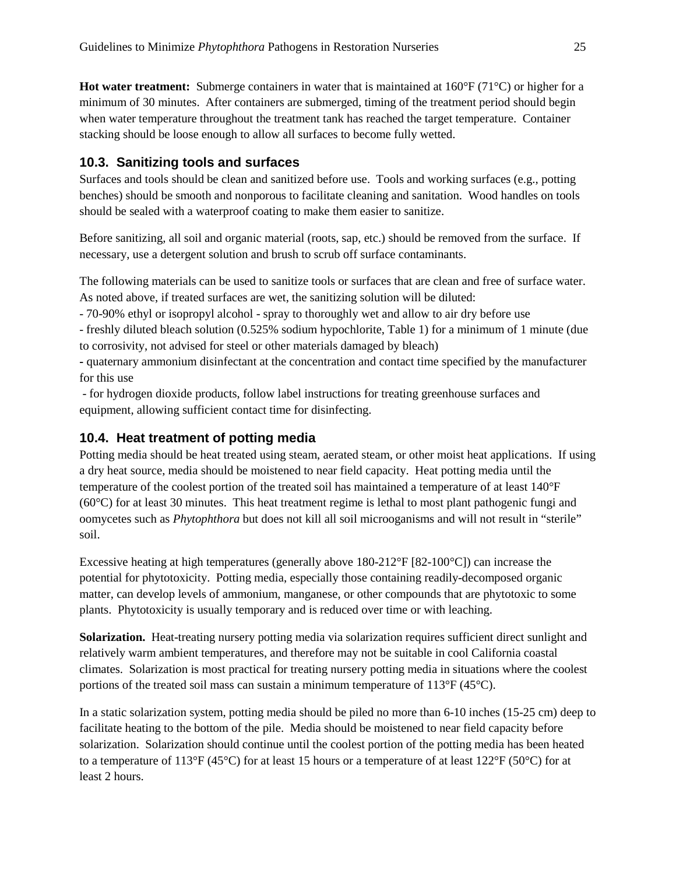**Hot water treatment:** Submerge containers in water that is maintained at 160°F (71°C) or higher for a minimum of 30 minutes. After containers are submerged, timing of the treatment period should begin when water temperature throughout the treatment tank has reached the target temperature. Container stacking should be loose enough to allow all surfaces to become fully wetted.

### <span id="page-24-0"></span>**10.3. Sanitizing tools and surfaces**

Surfaces and tools should be clean and sanitized before use. Tools and working surfaces (e.g., potting benches) should be smooth and nonporous to facilitate cleaning and sanitation. Wood handles on tools should be sealed with a waterproof coating to make them easier to sanitize.

Before sanitizing, all soil and organic material (roots, sap, etc.) should be removed from the surface. If necessary, use a detergent solution and brush to scrub off surface contaminants.

The following materials can be used to sanitize tools or surfaces that are clean and free of surface water. As noted above, if treated surfaces are wet, the sanitizing solution will be diluted:

- 70-90% ethyl or isopropyl alcohol - spray to thoroughly wet and allow to air dry before use

- freshly diluted bleach solution (0.525% sodium hypochlorite, Table 1) for a minimum of 1 minute (due to corrosivity, not advised for steel or other materials damaged by bleach)

**-** quaternary ammonium disinfectant at the concentration and contact time specified by the manufacturer for this use

- for hydrogen dioxide products, follow label instructions for treating greenhouse surfaces and equipment, allowing sufficient contact time for disinfecting.

### <span id="page-24-1"></span>**10.4. Heat treatment of potting media**

Potting media should be heat treated using steam, aerated steam, or other moist heat applications. If using a dry heat source, media should be moistened to near field capacity. Heat potting media until the temperature of the coolest portion of the treated soil has maintained a temperature of at least 140°F (60°C) for at least 30 minutes. This heat treatment regime is lethal to most plant pathogenic fungi and oomycetes such as *Phytophthora* but does not kill all soil microoganisms and will not result in "sterile" soil.

Excessive heating at high temperatures (generally above  $180-212^{\circ}F [82-100^{\circ}C]$ ) can increase the potential for phytotoxicity. Potting media, especially those containing readily-decomposed organic matter, can develop levels of ammonium, manganese, or other compounds that are phytotoxic to some plants. Phytotoxicity is usually temporary and is reduced over time or with leaching.

**Solarization.** Heat-treating nursery potting media via solarization requires sufficient direct sunlight and relatively warm ambient temperatures, and therefore may not be suitable in cool California coastal climates. Solarization is most practical for treating nursery potting media in situations where the coolest portions of the treated soil mass can sustain a minimum temperature of 113°F (45°C).

In a static solarization system, potting media should be piled no more than 6-10 inches (15-25 cm) deep to facilitate heating to the bottom of the pile. Media should be moistened to near field capacity before solarization. Solarization should continue until the coolest portion of the potting media has been heated to a temperature of 113 $^{\circ}$ F (45 $^{\circ}$ C) for at least 15 hours or a temperature of at least 122 $^{\circ}$ F (50 $^{\circ}$ C) for at least 2 hours.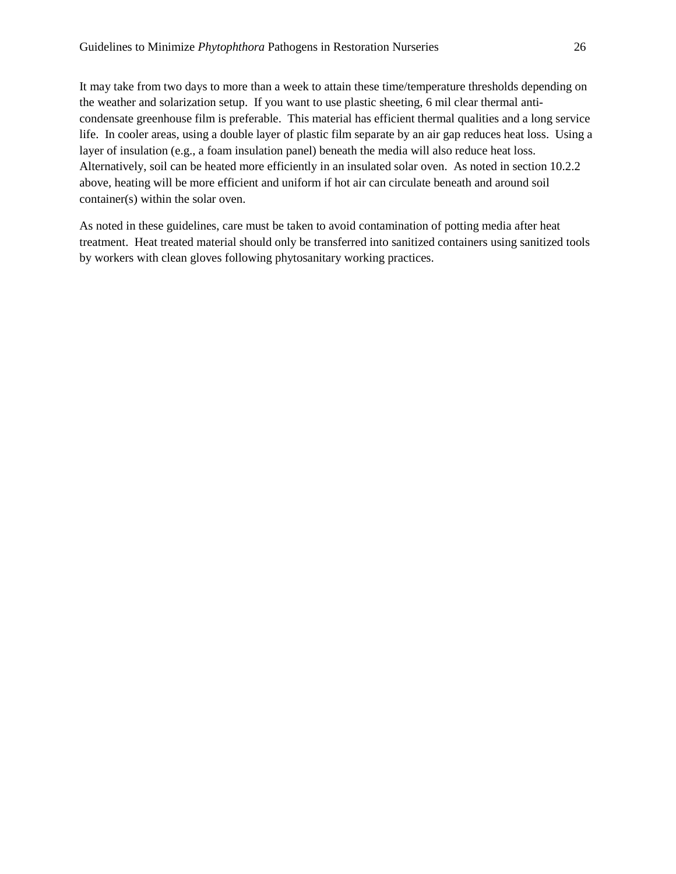It may take from two days to more than a week to attain these time/temperature thresholds depending on the weather and solarization setup. If you want to use plastic sheeting, 6 mil clear thermal anticondensate greenhouse film is preferable. This material has efficient thermal qualities and a long service life. In cooler areas, using a double layer of plastic film separate by an air gap reduces heat loss. Using a layer of insulation (e.g., a foam insulation panel) beneath the media will also reduce heat loss. Alternatively, soil can be heated more efficiently in an insulated solar oven. As noted in section 10.2.2 above, heating will be more efficient and uniform if hot air can circulate beneath and around soil container(s) within the solar oven.

As noted in these guidelines, care must be taken to avoid contamination of potting media after heat treatment. Heat treated material should only be transferred into sanitized containers using sanitized tools by workers with clean gloves following phytosanitary working practices.